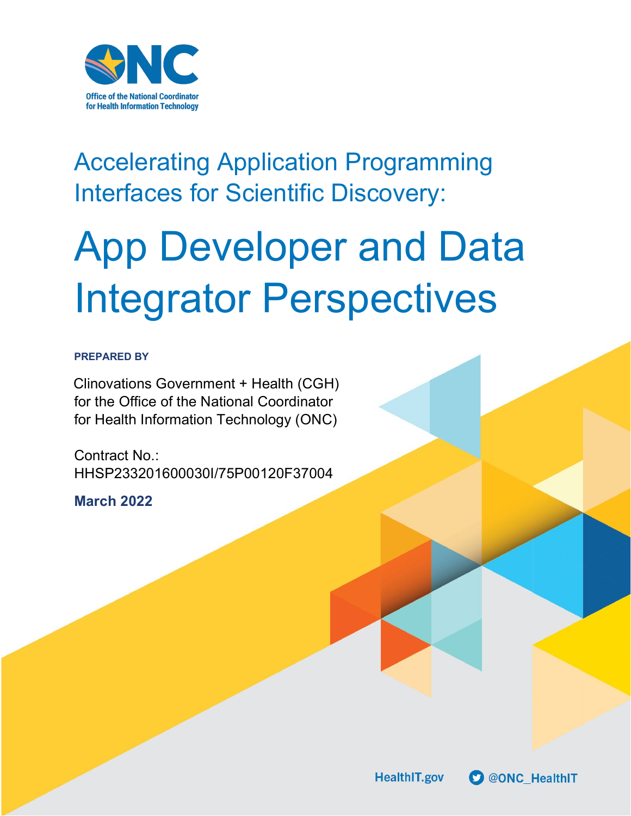

# Accelerating Application Programming Interfaces for Scientific Discovery:

# App Developer and Data Integrator Perspectives

# **PREPARED BY**

Clinovations Government + Health (CGH) for the Office of the National Coordinator for Health Information Technology (ONC)

Contract No.: HHSP233201600030I/75P00120F37004

**March 2022**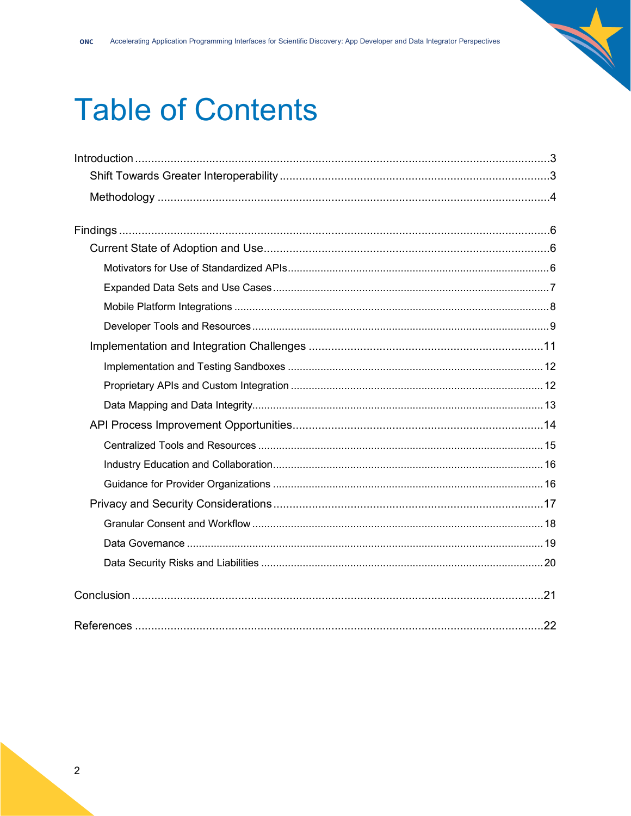# **Table of Contents**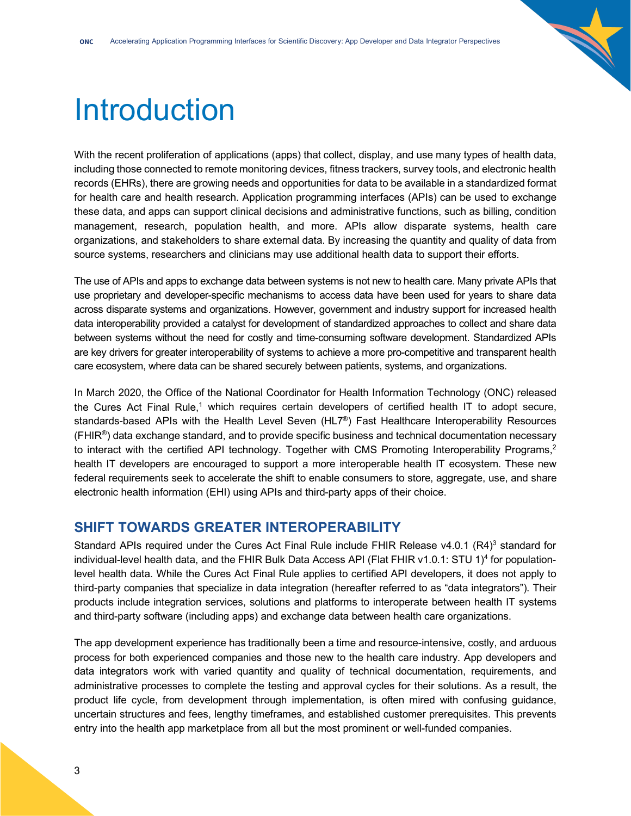

# <span id="page-2-0"></span>Introduction

With the recent proliferation of applications (apps) that collect, display, and use many types of health data, including those connected to remote monitoring devices, fitness trackers, survey tools, and electronic health records (EHRs), there are growing needs and opportunities for data to be available in a standardized format for health care and health research. Application programming interfaces (APIs) can be used to exchange these data, and apps can support clinical decisions and administrative functions, such as billing, condition management, research, population health, and more. APIs allow disparate systems, health care organizations, and stakeholders to share external data. By increasing the quantity and quality of data from source systems, researchers and clinicians may use additional health data to support their efforts.

The use of APIs and apps to exchange data between systems is not new to health care. Many private APIs that use proprietary and developer-specific mechanisms to access data have been used for years to share data across disparate systems and organizations. However, government and industry support for increased health data interoperability provided a catalyst for development of standardized approaches to collect and share data between systems without the need for costly and time-consuming software development. Standardized APIs are key drivers for greater interoperability of systems to achieve a more pro-competitive and transparent health care ecosystem, where data can be shared securely between patients, systems, and organizations.

In March 2020, the Office of the National Coordinator for Health Information Technology (ONC) released the Cures Act Final Rule,<sup>1</sup> which requires certain developers of certified health IT to adopt secure, standards-based APIs with the Health Level Seven (HL7®) Fast Healthcare Interoperability Resources  $(FHIR<sup>®</sup>)$  data exchange standard, and to provide specific business and technical documentation necessary to interact with the certified API technology. Together with CMS Promoting Interoperability Programs,<sup>2</sup> health IT developers are encouraged to support a more interoperable health IT ecosystem. These new federal requirements seek to accelerate the shift to enable consumers to store, aggregate, use, and share electronic health information (EHI) using APIs and third-party apps of their choice.

# <span id="page-2-1"></span>**SHIFT TOWARDS GREATER INTEROPERABILITY**

Standard APIs required under the Cures Act Final Rule include FHIR Release  $v4.0.1$  (R4)<sup>3</sup> standard for individual-level health data, and the FHIR Bulk Data Access API (Flat FHIR v1.0.1: STU 1)<sup>4</sup> for populationlevel health data. While the Cures Act Final Rule applies to certified API developers, it does not apply to third-party companies that specialize in data integration (hereafter referred to as "data integrators"). Their products include integration services, solutions and platforms to interoperate between health IT systems and third-party software (including apps) and exchange data between health care organizations.

The app development experience has traditionally been a time and resource-intensive, costly, and arduous process for both experienced companies and those new to the health care industry. App developers and data integrators work with varied quantity and quality of technical documentation, requirements, and administrative processes to complete the testing and approval cycles for their solutions. As a result, the product life cycle, from development through implementation, is often mired with confusing guidance, uncertain structures and fees, lengthy timeframes, and established customer prerequisites. This prevents entry into the health app marketplace from all but the most prominent or well-funded companies.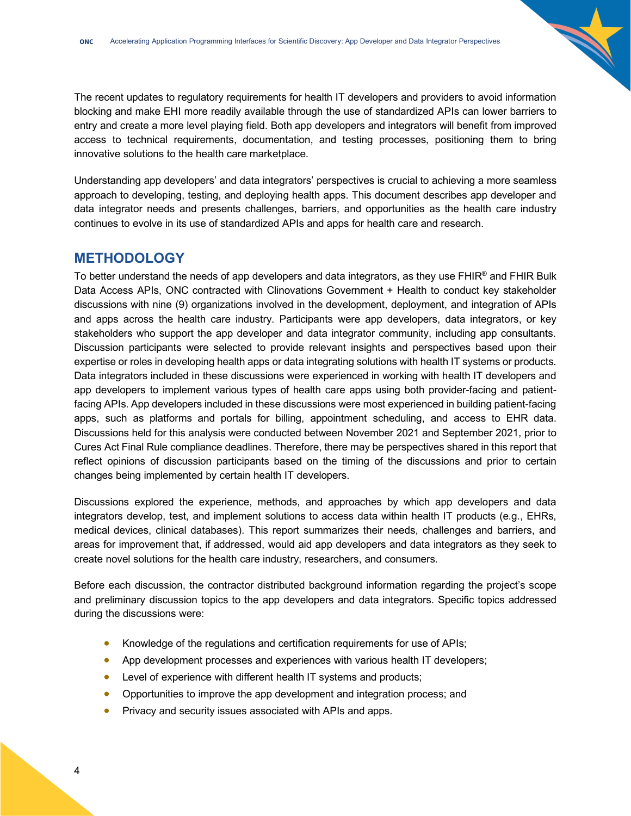The recent updates to regulatory requirements for health IT developers and providers to avoid information blocking and make EHI more readily available through the use of standardized APIs can lower barriers to entry and create a more level playing field. Both app developers and integrators will benefit from improved access to technical requirements, documentation, and testing processes, positioning them to bring innovative solutions to the health care marketplace.

Understanding app developers' and data integrators' perspectives is crucial to achieving a more seamless approach to developing, testing, and deploying health apps. This document describes app developer and data integrator needs and presents challenges, barriers, and opportunities as the health care industry continues to evolve in its use of standardized APIs and apps for health care and research.

# <span id="page-3-0"></span>**METHODOLOGY**

To better understand the needs of app developers and data integrators, as they use FHIR® and FHIR Bulk Data Access APIs, ONC contracted with Clinovations Government + Health to conduct key stakeholder discussions with nine (9) organizations involved in the development, deployment, and integration of APIs and apps across the health care industry. Participants were app developers, data integrators, or key stakeholders who support the app developer and data integrator community, including app consultants. Discussion participants were selected to provide relevant insights and perspectives based upon their expertise or roles in developing health apps or data integrating solutions with health IT systems or products. Data integrators included in these discussions were experienced in working with health IT developers and app developers to implement various types of health care apps using both provider-facing and patientfacing APIs. App developers included in these discussions were most experienced in building patient-facing apps, such as platforms and portals for billing, appointment scheduling, and access to EHR data. Discussions held for this analysis were conducted between November 2021 and September 2021, prior to Cures Act Final Rule compliance deadlines. Therefore, there may be perspectives shared in this report that reflect opinions of discussion participants based on the timing of the discussions and prior to certain changes being implemented by certain health IT developers.

Discussions explored the experience, methods, and approaches by which app developers and data integrators develop, test, and implement solutions to access data within health IT products (e.g., EHRs, medical devices, clinical databases). This report summarizes their needs, challenges and barriers, and areas for improvement that, if addressed, would aid app developers and data integrators as they seek to create novel solutions for the health care industry, researchers, and consumers.

Before each discussion, the contractor distributed background information regarding the project's scope and preliminary discussion topics to the app developers and data integrators. Specific topics addressed during the discussions were:

- Knowledge of the regulations and certification requirements for use of APIs;
- App development processes and experiences with various health IT developers;
- Level of experience with different health IT systems and products;
- Opportunities to improve the app development and integration process; and
- Privacy and security issues associated with APIs and apps.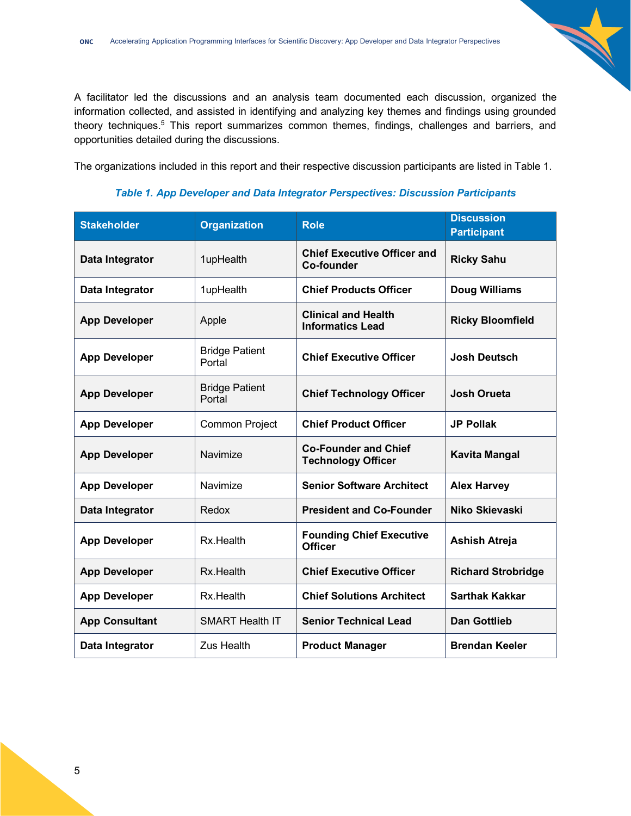A facilitator led the discussions and an analysis team documented each discussion, organized the information collected, and assisted in identifying and analyzing key themes and findings using grounded theory techniques.<sup>5</sup> This report summarizes common themes, findings, challenges and barriers, and opportunities detailed during the discussions.

The organizations included in this report and their respective discussion participants are listed in Table 1.

| <b>Stakeholder</b>    | <b>Organization</b>             | <b>Role</b>                                              | <b>Discussion</b><br><b>Participant</b> |
|-----------------------|---------------------------------|----------------------------------------------------------|-----------------------------------------|
| Data Integrator       | 1upHealth                       | <b>Chief Executive Officer and</b><br><b>Co-founder</b>  | <b>Ricky Sahu</b>                       |
| Data Integrator       | 1upHealth                       | <b>Chief Products Officer</b>                            | Doug Williams                           |
| <b>App Developer</b>  | Apple                           | <b>Clinical and Health</b><br><b>Informatics Lead</b>    | <b>Ricky Bloomfield</b>                 |
| <b>App Developer</b>  | <b>Bridge Patient</b><br>Portal | <b>Chief Executive Officer</b>                           | <b>Josh Deutsch</b>                     |
| <b>App Developer</b>  | <b>Bridge Patient</b><br>Portal | <b>Chief Technology Officer</b>                          | <b>Josh Orueta</b>                      |
| <b>App Developer</b>  | Common Project                  | <b>Chief Product Officer</b>                             | <b>JP Pollak</b>                        |
| <b>App Developer</b>  | Navimize                        | <b>Co-Founder and Chief</b><br><b>Technology Officer</b> | <b>Kavita Mangal</b>                    |
| <b>App Developer</b>  | Navimize                        | <b>Senior Software Architect</b>                         | <b>Alex Harvey</b>                      |
| Data Integrator       | Redox                           | <b>President and Co-Founder</b>                          | Niko Skievaski                          |
| <b>App Developer</b>  | Rx.Health                       | <b>Founding Chief Executive</b><br><b>Officer</b>        | <b>Ashish Atreja</b>                    |
| <b>App Developer</b>  | Rx.Health                       | <b>Chief Executive Officer</b>                           | <b>Richard Strobridge</b>               |
| <b>App Developer</b>  | Rx.Health                       | <b>Chief Solutions Architect</b>                         | <b>Sarthak Kakkar</b>                   |
| <b>App Consultant</b> | <b>SMART Health IT</b>          | <b>Senior Technical Lead</b>                             | <b>Dan Gottlieb</b>                     |
| Data Integrator       | <b>Zus Health</b>               | <b>Product Manager</b>                                   | <b>Brendan Keeler</b>                   |

### *Table 1. App Developer and Data Integrator Perspectives: Discussion Participants*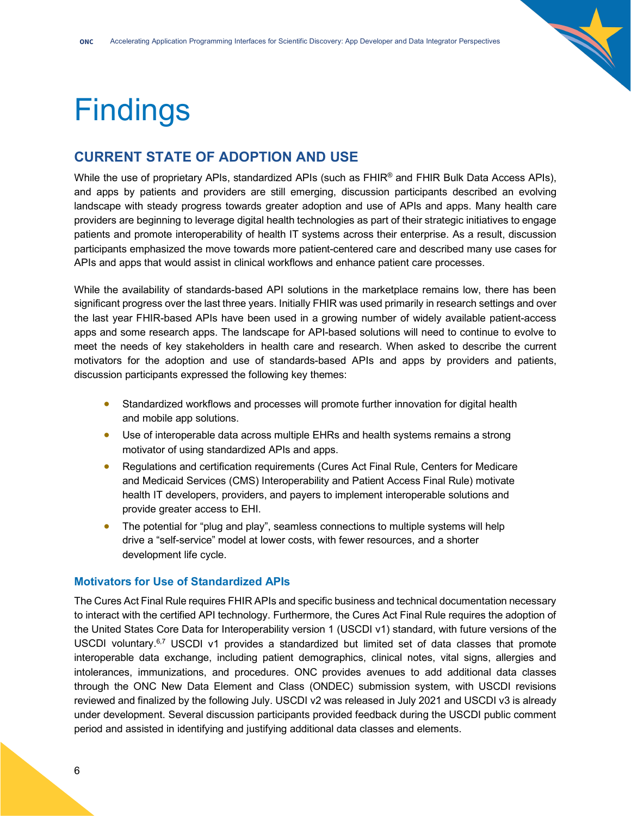

# <span id="page-5-0"></span>**Findings**

# <span id="page-5-1"></span>**CURRENT STATE OF ADOPTION AND USE**

While the use of proprietary APIs, standardized APIs (such as FHIR® and FHIR Bulk Data Access APIs), and apps by patients and providers are still emerging, discussion participants described an evolving landscape with steady progress towards greater adoption and use of APIs and apps. Many health care providers are beginning to leverage digital health technologies as part of their strategic initiatives to engage patients and promote interoperability of health IT systems across their enterprise. As a result, discussion participants emphasized the move towards more patient-centered care and described many use cases for APIs and apps that would assist in clinical workflows and enhance patient care processes.

While the availability of standards-based API solutions in the marketplace remains low, there has been significant progress over the last three years. Initially FHIR was used primarily in research settings and over the last year FHIR-based APIs have been used in a growing number of widely available patient-access apps and some research apps. The landscape for API-based solutions will need to continue to evolve to meet the needs of key stakeholders in health care and research. When asked to describe the current motivators for the adoption and use of standards-based APIs and apps by providers and patients, discussion participants expressed the following key themes:

- Standardized workflows and processes will promote further innovation for digital health and mobile app solutions.
- Use of interoperable data across multiple EHRs and health systems remains a strong motivator of using standardized APIs and apps.
- Regulations and certification requirements (Cures Act Final Rule, Centers for Medicare and Medicaid Services (CMS) Interoperability and Patient Access Final Rule) motivate health IT developers, providers, and payers to implement interoperable solutions and provide greater access to EHI.
- The potential for "plug and play", seamless connections to multiple systems will help drive a "self-service" model at lower costs, with fewer resources, and a shorter development life cycle.

# <span id="page-5-2"></span>**Motivators for Use of Standardized APIs**

The Cures Act Final Rule requires FHIR APIs and specific business and technical documentation necessary to interact with the certified API technology. Furthermore, the Cures Act Final Rule requires the adoption of the United States Core Data for Interoperability version 1 (USCDI v1) standard, with future versions of the USCDI voluntary.<sup>6,7</sup> USCDI v1 provides a standardized but limited set of data classes that promote interoperable data exchange, including patient demographics, clinical notes, vital signs, allergies and intolerances, immunizations, and procedures. ONC provides avenues to add additional data classes through the ONC New Data Element and Class (ONDEC) submission system, with USCDI revisions reviewed and finalized by the following July. USCDI v2 was released in July 2021 and USCDI v3 is already under development. Several discussion participants provided feedback during the USCDI public comment period and assisted in identifying and justifying additional data classes and elements.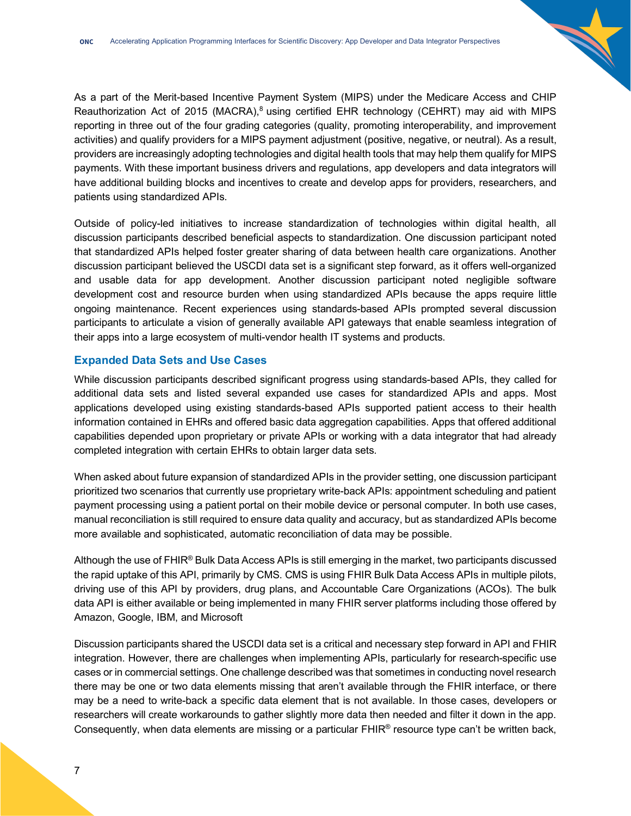As a part of the Merit-based Incentive Payment System (MIPS) under the Medicare Access and CHIP Reauthorization Act of 2015 (MACRA),<sup>8</sup> using certified EHR technology (CEHRT) may aid with MIPS reporting in three out of the four grading categories (quality, promoting interoperability, and improvement activities) and qualify providers for a MIPS payment adjustment (positive, negative, or neutral). As a result, providers are increasingly adopting technologies and digital health tools that may help them qualify for MIPS payments. With these important business drivers and regulations, app developers and data integrators will have additional building blocks and incentives to create and develop apps for providers, researchers, and patients using standardized APIs.

Outside of policy-led initiatives to increase standardization of technologies within digital health, all discussion participants described beneficial aspects to standardization. One discussion participant noted that standardized APIs helped foster greater sharing of data between health care organizations. Another discussion participant believed the USCDI data set is a significant step forward, as it offers well-organized and usable data for app development. Another discussion participant noted negligible software development cost and resource burden when using standardized APIs because the apps require little ongoing maintenance. Recent experiences using standards-based APIs prompted several discussion participants to articulate a vision of generally available API gateways that enable seamless integration of their apps into a large ecosystem of multi-vendor health IT systems and products.

# <span id="page-6-0"></span>**Expanded Data Sets and Use Cases**

While discussion participants described significant progress using standards-based APIs, they called for additional data sets and listed several expanded use cases for standardized APIs and apps. Most applications developed using existing standards-based APIs supported patient access to their health information contained in EHRs and offered basic data aggregation capabilities. Apps that offered additional capabilities depended upon proprietary or private APIs or working with a data integrator that had already completed integration with certain EHRs to obtain larger data sets.

When asked about future expansion of standardized APIs in the provider setting, one discussion participant prioritized two scenarios that currently use proprietary write-back APIs: appointment scheduling and patient payment processing using a patient portal on their mobile device or personal computer. In both use cases, manual reconciliation is still required to ensure data quality and accuracy, but as standardized APIs become more available and sophisticated, automatic reconciliation of data may be possible.

Although the use of  $FHIR^{\circledast}$  Bulk Data Access APIs is still emerging in the market, two participants discussed the rapid uptake of this API, primarily by CMS. CMS is using FHIR Bulk Data Access APIs in multiple pilots, driving use of this API by providers, drug plans, and Accountable Care Organizations (ACOs). The bulk data API is either available or being implemented in many FHIR server platforms including those offered by Amazon, Google, IBM, and Microsoft

Discussion participants shared the USCDI data set is a critical and necessary step forward in API and FHIR integration. However, there are challenges when implementing APIs, particularly for research-specific use cases or in commercial settings. One challenge described was that sometimes in conducting novel research there may be one or two data elements missing that aren't available through the FHIR interface, or there may be a need to write-back a specific data element that is not available. In those cases, developers or researchers will create workarounds to gather slightly more data then needed and filter it down in the app. Consequently, when data elements are missing or a particular FHIR® resource type can't be written back,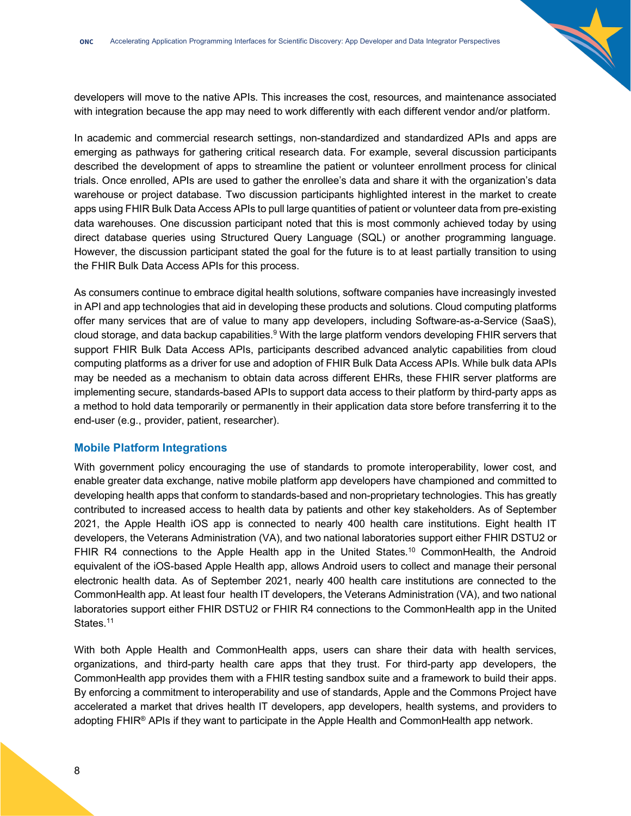developers will move to the native APIs. This increases the cost, resources, and maintenance associated with integration because the app may need to work differently with each different vendor and/or platform.

In academic and commercial research settings, non-standardized and standardized APIs and apps are emerging as pathways for gathering critical research data. For example, several discussion participants described the development of apps to streamline the patient or volunteer enrollment process for clinical trials. Once enrolled, APIs are used to gather the enrollee's data and share it with the organization's data warehouse or project database. Two discussion participants highlighted interest in the market to create apps using FHIR Bulk Data Access APIs to pull large quantities of patient or volunteer data from pre-existing data warehouses. One discussion participant noted that this is most commonly achieved today by using direct database queries using Structured Query Language (SQL) or another programming language. However, the discussion participant stated the goal for the future is to at least partially transition to using the FHIR Bulk Data Access APIs for this process.

As consumers continue to embrace digital health solutions, software companies have increasingly invested in API and app technologies that aid in developing these products and solutions. Cloud computing platforms offer many services that are of value to many app developers, including Software-as-a-Service (SaaS), cloud storage, and data backup capabilities.<sup>9</sup> With the large platform vendors developing FHIR servers that support FHIR Bulk Data Access APIs, participants described advanced analytic capabilities from cloud computing platforms as a driver for use and adoption of FHIR Bulk Data Access APIs. While bulk data APIs may be needed as a mechanism to obtain data across different EHRs, these FHIR server platforms are implementing secure, standards-based APIs to support data access to their platform by third-party apps as a method to hold data temporarily or permanently in their application data store before transferring it to the end-user (e.g., provider, patient, researcher).

### <span id="page-7-0"></span>**Mobile Platform Integrations**

With government policy encouraging the use of standards to promote interoperability, lower cost, and enable greater data exchange, native mobile platform app developers have championed and committed to developing health apps that conform to standards-based and non-proprietary technologies. This has greatly contributed to increased access to health data by patients and other key stakeholders. As of September 2021, the Apple Health iOS app is connected to nearly 400 health care institutions. Eight health IT developers, the Veterans Administration (VA), and two national laboratories support either FHIR DSTU2 or FHIR R4 connections to the Apple Health app in the United States.<sup>10</sup> CommonHealth, the Android equivalent of the iOS-based Apple Health app, allows Android users to collect and manage their personal electronic health data. As of September 2021, nearly 400 health care institutions are connected to the CommonHealth app. At least four health IT developers, the Veterans Administration (VA), and two national laboratories support either FHIR DSTU2 or FHIR R4 connections to the CommonHealth app in the United States.<sup>11</sup>

With both Apple Health and CommonHealth apps, users can share their data with health services, organizations, and third-party health care apps that they trust. For third-party app developers, the CommonHealth app provides them with a FHIR testing sandbox suite and a framework to build their apps. By enforcing a commitment to interoperability and use of standards, Apple and the Commons Project have accelerated a market that drives health IT developers, app developers, health systems, and providers to adopting FHIR® APIs if they want to participate in the Apple Health and CommonHealth app network.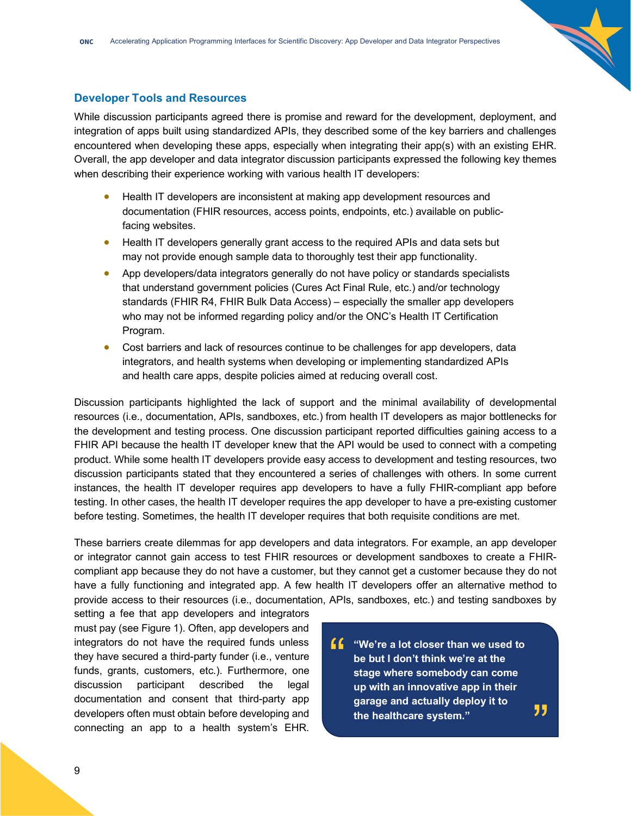### <span id="page-8-0"></span>**Developer Tools and Resources**

While discussion participants agreed there is promise and reward for the development, deployment, and integration of apps built using standardized APIs, they described some of the key barriers and challenges encountered when developing these apps, especially when integrating their app(s) with an existing EHR. Overall, the app developer and data integrator discussion participants expressed the following key themes when describing their experience working with various health IT developers:

- Health IT developers are inconsistent at making app development resources and documentation (FHIR resources, access points, endpoints, etc.) available on publicfacing websites.
- Health IT developers generally grant access to the required APIs and data sets but may not provide enough sample data to thoroughly test their app functionality.
- App developers/data integrators generally do not have policy or standards specialists that understand government policies (Cures Act Final Rule, etc.) and/or technology standards (FHIR R4, FHIR Bulk Data Access) – especially the smaller app developers who may not be informed regarding policy and/or the ONC's Health IT Certification Program.
- Cost barriers and lack of resources continue to be challenges for app developers, data integrators, and health systems when developing or implementing standardized APIs and health care apps, despite policies aimed at reducing overall cost.

Discussion participants highlighted the lack of support and the minimal availability of developmental resources (i.e., documentation, APIs, sandboxes, etc.) from health IT developers as major bottlenecks for the development and testing process. One discussion participant reported difficulties gaining access to a FHIR API because the health IT developer knew that the API would be used to connect with a competing product. While some health IT developers provide easy access to development and testing resources, two discussion participants stated that they encountered a series of challenges with others. In some current instances, the health IT developer requires app developers to have a fully FHIR-compliant app before testing. In other cases, the health IT developer requires the app developer to have a pre-existing customer before testing. Sometimes, the health IT developer requires that both requisite conditions are met.

These barriers create dilemmas for app developers and data integrators. For example, an app developer or integrator cannot gain access to test FHIR resources or development sandboxes to create a FHIRcompliant app because they do not have a customer, but they cannot get a customer because they do not have a fully functioning and integrated app. A few health IT developers offer an alternative method to provide access to their resources (i.e., documentation, APIs, sandboxes, etc.) and testing sandboxes by

setting a fee that app developers and integrators must pay (see Figure 1). Often, app developers and integrators do not have the required funds unless they have secured a third-party funder (i.e., venture funds, grants, customers, etc.). Furthermore, one discussion participant described the legal documentation and consent that third-party app developers often must obtain before developing and connecting an app to a health system's EHR.

**f** "We're a lot closer than we used to<br>be but I don't think we're at the<br>stage where somebody can come **be but I don't think we're at the stage where somebody can come up with an innovative app in their garage and actually deploy it to the healthcare system."** "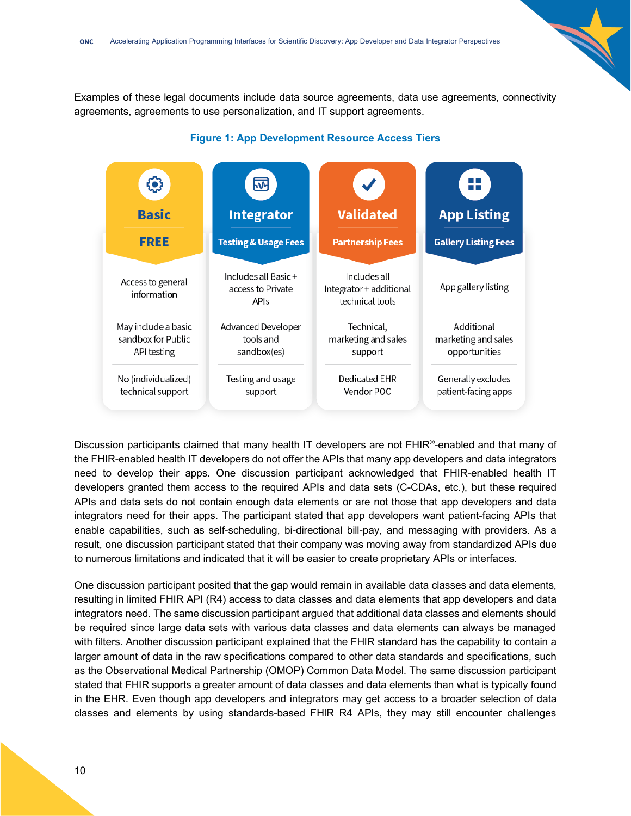Examples of these legal documents include data source agreements, data use agreements, connectivity agreements, agreements to use personalization, and IT support agreements.



#### **Figure 1: App Development Resource Access Tiers**

Discussion participants claimed that many health IT developers are not FHIR®-enabled and that many of the FHIR-enabled health IT developers do not offer the APIs that many app developers and data integrators need to develop their apps. One discussion participant acknowledged that FHIR-enabled health IT developers granted them access to the required APIs and data sets (C-CDAs, etc.), but these required APIs and data sets do not contain enough data elements or are not those that app developers and data integrators need for their apps. The participant stated that app developers want patient-facing APIs that enable capabilities, such as self-scheduling, bi-directional bill-pay, and messaging with providers. As a result, one discussion participant stated that their company was moving away from standardized APIs due to numerous limitations and indicated that it will be easier to create proprietary APIs or interfaces.

One discussion participant posited that the gap would remain in available data classes and data elements, resulting in limited FHIR API (R4) access to data classes and data elements that app developers and data integrators need. The same discussion participant argued that additional data classes and elements should be required since large data sets with various data classes and data elements can always be managed with filters. Another discussion participant explained that the FHIR standard has the capability to contain a larger amount of data in the raw specifications compared to other data standards and specifications, such as the Observational Medical Partnership (OMOP) Common Data Model. The same discussion participant stated that FHIR supports a greater amount of data classes and data elements than what is typically found in the EHR. Even though app developers and integrators may get access to a broader selection of data classes and elements by using standards-based FHIR R4 APIs, they may still encounter challenges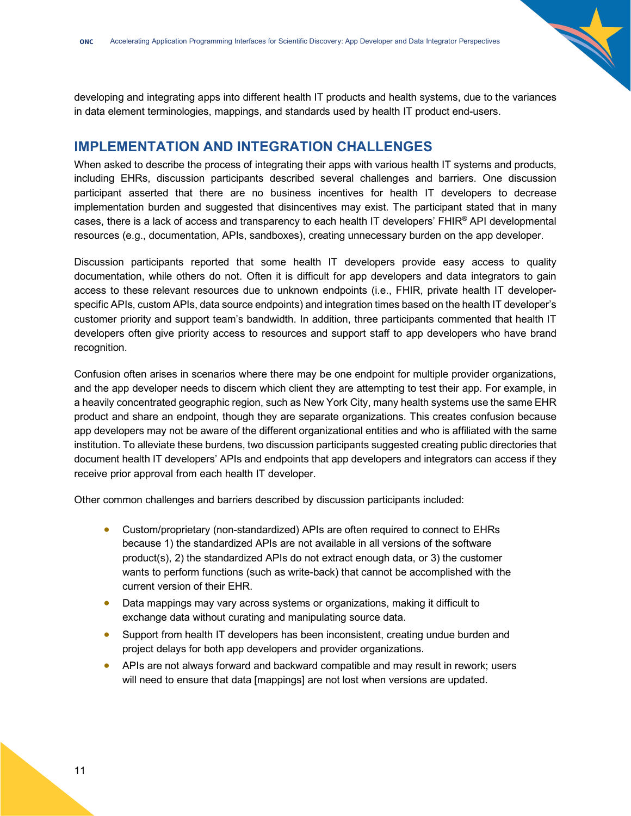developing and integrating apps into different health IT products and health systems, due to the variances in data element terminologies, mappings, and standards used by health IT product end-users.

# <span id="page-10-0"></span>**IMPLEMENTATION AND INTEGRATION CHALLENGES**

When asked to describe the process of integrating their apps with various health IT systems and products, including EHRs, discussion participants described several challenges and barriers. One discussion participant asserted that there are no business incentives for health IT developers to decrease implementation burden and suggested that disincentives may exist. The participant stated that in many cases, there is a lack of access and transparency to each health IT developers' FHIR® API developmental resources (e.g., documentation, APIs, sandboxes), creating unnecessary burden on the app developer.

Discussion participants reported that some health IT developers provide easy access to quality documentation, while others do not. Often it is difficult for app developers and data integrators to gain access to these relevant resources due to unknown endpoints (i.e., FHIR, private health IT developerspecific APIs, custom APIs, data source endpoints) and integration times based on the health IT developer's customer priority and support team's bandwidth. In addition, three participants commented that health IT developers often give priority access to resources and support staff to app developers who have brand recognition.

Confusion often arises in scenarios where there may be one endpoint for multiple provider organizations, and the app developer needs to discern which client they are attempting to test their app. For example, in a heavily concentrated geographic region, such as New York City, many health systems use the same EHR product and share an endpoint, though they are separate organizations. This creates confusion because app developers may not be aware of the different organizational entities and who is affiliated with the same institution. To alleviate these burdens, two discussion participants suggested creating public directories that document health IT developers' APIs and endpoints that app developers and integrators can access if they receive prior approval from each health IT developer.

Other common challenges and barriers described by discussion participants included:

- Custom/proprietary (non-standardized) APIs are often required to connect to EHRs because 1) the standardized APIs are not available in all versions of the software product(s), 2) the standardized APIs do not extract enough data, or 3) the customer wants to perform functions (such as write-back) that cannot be accomplished with the current version of their EHR.
- Data mappings may vary across systems or organizations, making it difficult to exchange data without curating and manipulating source data.
- Support from health IT developers has been inconsistent, creating undue burden and project delays for both app developers and provider organizations.
- APIs are not always forward and backward compatible and may result in rework; users will need to ensure that data [mappings] are not lost when versions are updated.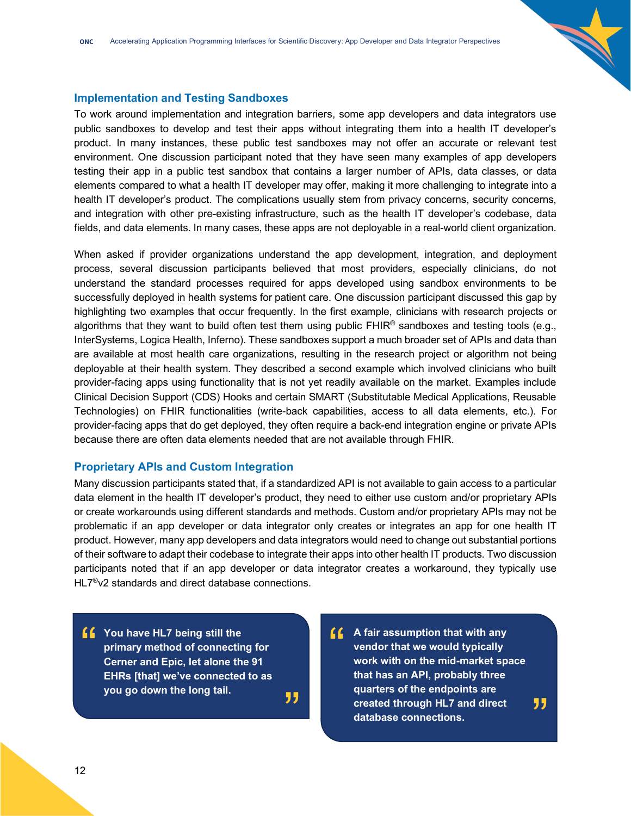### <span id="page-11-0"></span>**Implementation and Testing Sandboxes**

To work around implementation and integration barriers, some app developers and data integrators use public sandboxes to develop and test their apps without integrating them into a health IT developer's product. In many instances, these public test sandboxes may not offer an accurate or relevant test environment. One discussion participant noted that they have seen many examples of app developers testing their app in a public test sandbox that contains a larger number of APIs, data classes, or data elements compared to what a health IT developer may offer, making it more challenging to integrate into a health IT developer's product. The complications usually stem from privacy concerns, security concerns, and integration with other pre-existing infrastructure, such as the health IT developer's codebase, data fields, and data elements. In many cases, these apps are not deployable in a real-world client organization.

When asked if provider organizations understand the app development, integration, and deployment process, several discussion participants believed that most providers, especially clinicians, do not understand the standard processes required for apps developed using sandbox environments to be successfully deployed in health systems for patient care. One discussion participant discussed this gap by highlighting two examples that occur frequently. In the first example, clinicians with research projects or algorithms that they want to build often test them using public  $FHIR<sup>®</sup>$  sandboxes and testing tools (e.g., InterSystems, Logica Health, Inferno). These sandboxes support a much broader set of APIs and data than are available at most health care organizations, resulting in the research project or algorithm not being deployable at their health system. They described a second example which involved clinicians who built provider-facing apps using functionality that is not yet readily available on the market. Examples include Clinical Decision Support (CDS) Hooks and certain SMART (Substitutable Medical Applications, Reusable Technologies) on FHIR functionalities (write-back capabilities, access to all data elements, etc.). For provider-facing apps that do get deployed, they often require a back-end integration engine or private APIs because there are often data elements needed that are not available through FHIR.

### <span id="page-11-1"></span>**Proprietary APIs and Custom Integration**

Many discussion participants stated that, if a standardized API is not available to gain access to a particular data element in the health IT developer's product, they need to either use custom and/or proprietary APIs or create workarounds using different standards and methods. Custom and/or proprietary APIs may not be problematic if an app developer or data integrator only creates or integrates an app for one health IT product. However, many app developers and data integrators would need to change out substantial portions of their software to adapt their codebase to integrate their apps into other health IT products. Two discussion participants noted that if an app developer or data integrator creates a workaround, they typically use HL7<sup>®</sup>v2 standards and direct database connections.

- **f** You have HL7 being still the<br>primary method of connectin<br>Cerner and Epic, let alone there **primary method of connecting for Cerner and Epic, let alone the 91 EHRs [that] we've connected to as you go down the long tail.** "
- **A** fair assumption that with any<br>
vendor that we would typically<br>
work with on the mid-market spectra that has an ABL probably three **vendor that we would typically work with on the mid-market space that has an API, probably three quarters of the endpoints are created through HL7 and direct database connections.** "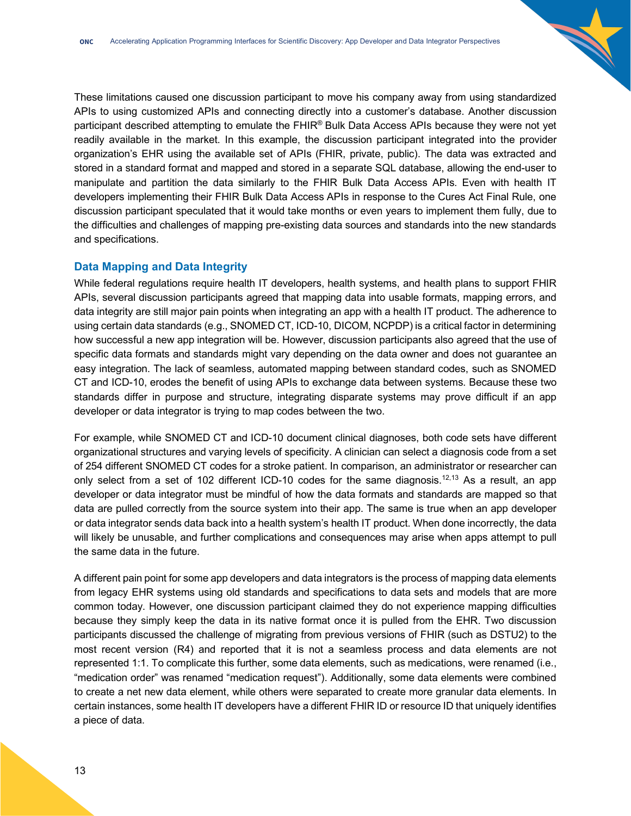These limitations caused one discussion participant to move his company away from using standardized APIs to using customized APIs and connecting directly into a customer's database. Another discussion participant described attempting to emulate the FHIR® Bulk Data Access APIs because they were not yet readily available in the market. In this example, the discussion participant integrated into the provider organization's EHR using the available set of APIs (FHIR, private, public). The data was extracted and stored in a standard format and mapped and stored in a separate SQL database, allowing the end-user to manipulate and partition the data similarly to the FHIR Bulk Data Access APIs. Even with health IT developers implementing their FHIR Bulk Data Access APIs in response to the Cures Act Final Rule, one discussion participant speculated that it would take months or even years to implement them fully, due to the difficulties and challenges of mapping pre-existing data sources and standards into the new standards and specifications.

# <span id="page-12-0"></span>**Data Mapping and Data Integrity**

While federal regulations require health IT developers, health systems, and health plans to support FHIR APIs, several discussion participants agreed that mapping data into usable formats, mapping errors, and data integrity are still major pain points when integrating an app with a health IT product. The adherence to using certain data standards (e.g., SNOMED CT, ICD-10, DICOM, NCPDP) is a critical factor in determining how successful a new app integration will be. However, discussion participants also agreed that the use of specific data formats and standards might vary depending on the data owner and does not guarantee an easy integration. The lack of seamless, automated mapping between standard codes, such as SNOMED CT and ICD-10, erodes the benefit of using APIs to exchange data between systems. Because these two standards differ in purpose and structure, integrating disparate systems may prove difficult if an app developer or data integrator is trying to map codes between the two.

For example, while SNOMED CT and ICD-10 document clinical diagnoses, both code sets have different organizational structures and varying levels of specificity. A clinician can select a diagnosis code from a set of 254 different SNOMED CT codes for a stroke patient. In comparison, an administrator or researcher can only select from a set of 102 different ICD-10 codes for the same diagnosis.<sup>12,13</sup> As a result, an app developer or data integrator must be mindful of how the data formats and standards are mapped so that data are pulled correctly from the source system into their app. The same is true when an app developer or data integrator sends data back into a health system's health IT product. When done incorrectly, the data will likely be unusable, and further complications and consequences may arise when apps attempt to pull the same data in the future.

A different pain point for some app developers and data integrators is the process of mapping data elements from legacy EHR systems using old standards and specifications to data sets and models that are more common today. However, one discussion participant claimed they do not experience mapping difficulties because they simply keep the data in its native format once it is pulled from the EHR. Two discussion participants discussed the challenge of migrating from previous versions of FHIR (such as DSTU2) to the most recent version (R4) and reported that it is not a seamless process and data elements are not represented 1:1. To complicate this further, some data elements, such as medications, were renamed (i.e., "medication order" was renamed "medication request"). Additionally, some data elements were combined to create a net new data element, while others were separated to create more granular data elements. In certain instances, some health IT developers have a different FHIR ID or resource ID that uniquely identifies a piece of data.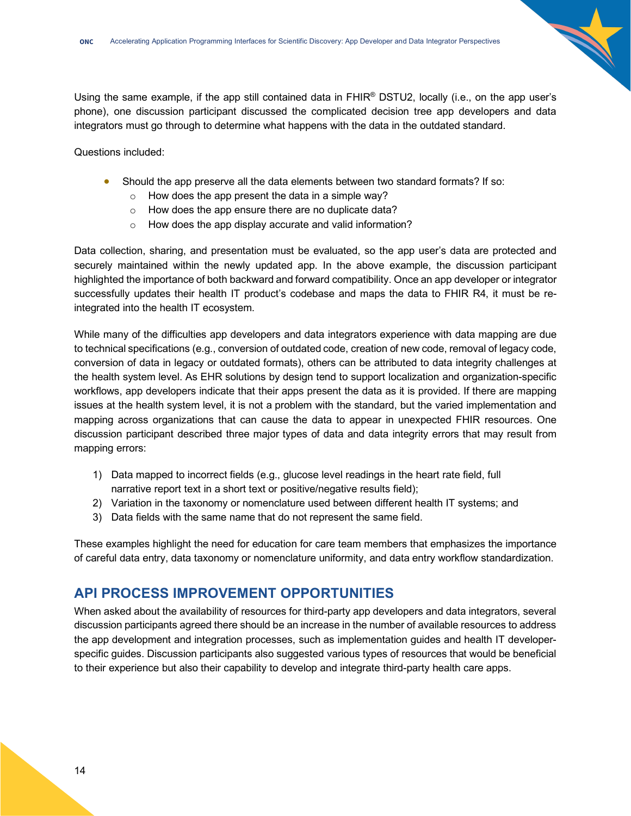

Questions included:

- Should the app preserve all the data elements between two standard formats? If so:
	- $\circ$  How does the app present the data in a simple way?
	- o How does the app ensure there are no duplicate data?
	- o How does the app display accurate and valid information?

Data collection, sharing, and presentation must be evaluated, so the app user's data are protected and securely maintained within the newly updated app. In the above example, the discussion participant highlighted the importance of both backward and forward compatibility. Once an app developer or integrator successfully updates their health IT product's codebase and maps the data to FHIR R4, it must be reintegrated into the health IT ecosystem.

While many of the difficulties app developers and data integrators experience with data mapping are due to technical specifications (e.g., conversion of outdated code, creation of new code, removal of legacy code, conversion of data in legacy or outdated formats), others can be attributed to data integrity challenges at the health system level. As EHR solutions by design tend to support localization and organization-specific workflows, app developers indicate that their apps present the data as it is provided. If there are mapping issues at the health system level, it is not a problem with the standard, but the varied implementation and mapping across organizations that can cause the data to appear in unexpected FHIR resources. One discussion participant described three major types of data and data integrity errors that may result from mapping errors:

- 1) Data mapped to incorrect fields (e.g., glucose level readings in the heart rate field, full narrative report text in a short text or positive/negative results field);
- 2) Variation in the taxonomy or nomenclature used between different health IT systems; and
- 3) Data fields with the same name that do not represent the same field.

These examples highlight the need for education for care team members that emphasizes the importance of careful data entry, data taxonomy or nomenclature uniformity, and data entry workflow standardization.

# <span id="page-13-0"></span>**API PROCESS IMPROVEMENT OPPORTUNITIES**

When asked about the availability of resources for third-party app developers and data integrators, several discussion participants agreed there should be an increase in the number of available resources to address the app development and integration processes, such as implementation guides and health IT developerspecific guides. Discussion participants also suggested various types of resources that would be beneficial to their experience but also their capability to develop and integrate third-party health care apps.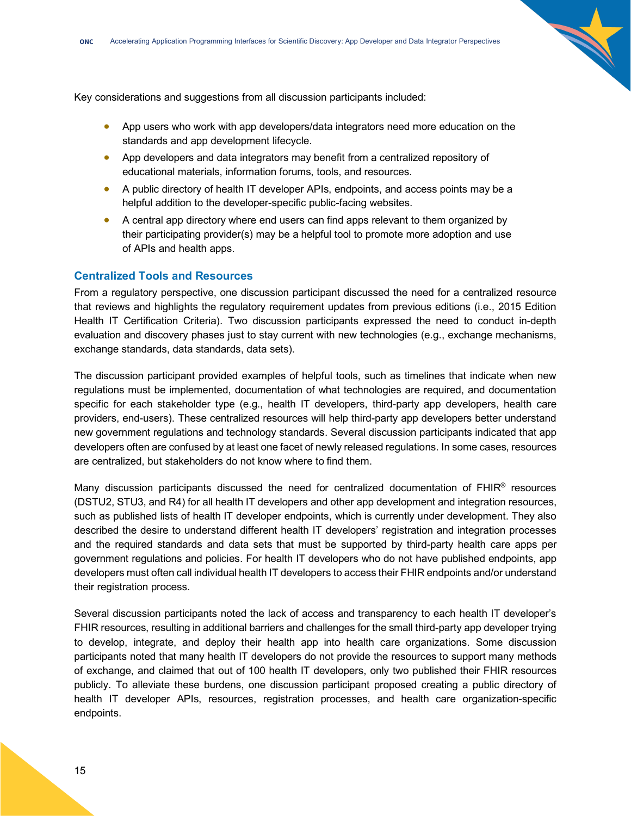

- App users who work with app developers/data integrators need more education on the standards and app development lifecycle.
- App developers and data integrators may benefit from a centralized repository of educational materials, information forums, tools, and resources.
- A public directory of health IT developer APIs, endpoints, and access points may be a helpful addition to the developer-specific public-facing websites.
- A central app directory where end users can find apps relevant to them organized by their participating provider(s) may be a helpful tool to promote more adoption and use of APIs and health apps.

#### <span id="page-14-0"></span>**Centralized Tools and Resources**

From a regulatory perspective, one discussion participant discussed the need for a centralized resource that reviews and highlights the regulatory requirement updates from previous editions (i.e., 2015 Edition Health IT Certification Criteria). Two discussion participants expressed the need to conduct in-depth evaluation and discovery phases just to stay current with new technologies (e.g., exchange mechanisms, exchange standards, data standards, data sets).

The discussion participant provided examples of helpful tools, such as timelines that indicate when new regulations must be implemented, documentation of what technologies are required, and documentation specific for each stakeholder type (e.g., health IT developers, third-party app developers, health care providers, end-users). These centralized resources will help third-party app developers better understand new government regulations and technology standards. Several discussion participants indicated that app developers often are confused by at least one facet of newly released regulations. In some cases, resources are centralized, but stakeholders do not know where to find them.

Many discussion participants discussed the need for centralized documentation of FHIR® resources (DSTU2, STU3, and R4) for all health IT developers and other app development and integration resources, such as published lists of health IT developer endpoints, which is currently under development. They also described the desire to understand different health IT developers' registration and integration processes and the required standards and data sets that must be supported by third-party health care apps per government regulations and policies. For health IT developers who do not have published endpoints, app developers must often call individual health IT developers to access their FHIR endpoints and/or understand their registration process.

Several discussion participants noted the lack of access and transparency to each health IT developer's FHIR resources, resulting in additional barriers and challenges for the small third-party app developer trying to develop, integrate, and deploy their health app into health care organizations. Some discussion participants noted that many health IT developers do not provide the resources to support many methods of exchange, and claimed that out of 100 health IT developers, only two published their FHIR resources publicly. To alleviate these burdens, one discussion participant proposed creating a public directory of health IT developer APIs, resources, registration processes, and health care organization-specific endpoints.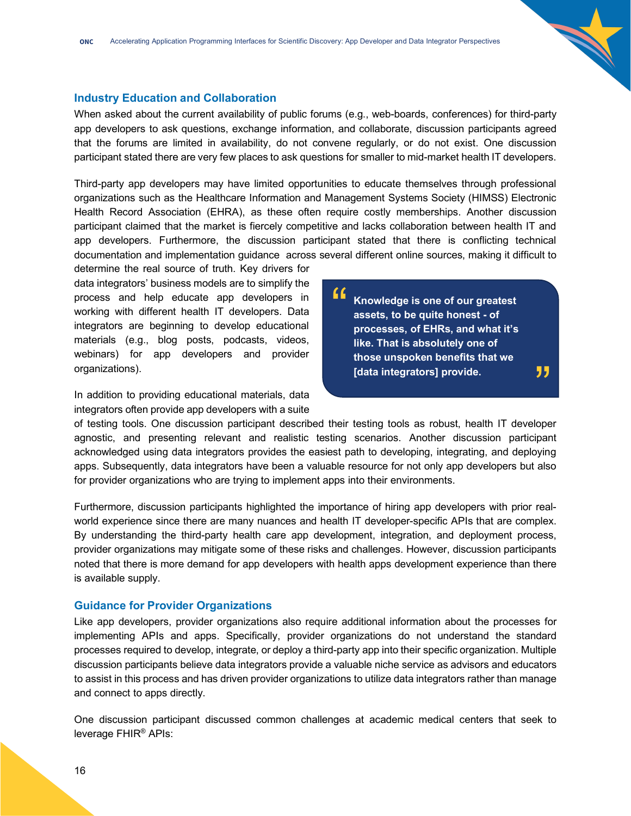### <span id="page-15-0"></span>**Industry Education and Collaboration**

When asked about the current availability of public forums (e.g., web-boards, conferences) for third-party app developers to ask questions, exchange information, and collaborate, discussion participants agreed that the forums are limited in availability, do not convene regularly, or do not exist. One discussion participant stated there are very few places to ask questions for smaller to mid-market health IT developers.

Third-party app developers may have limited opportunities to educate themselves through professional organizations such as the Healthcare Information and Management Systems Society (HIMSS) Electronic Health Record Association (EHRA), as these often require costly memberships. Another discussion participant claimed that the market is fiercely competitive and lacks collaboration between health IT and app developers. Furthermore, the discussion participant stated that there is conflicting technical documentation and implementation guidance across several different online sources, making it difficult to

determine the real source of truth. Key drivers for data integrators' business models are to simplify the process and help educate app developers in working with different health IT developers. Data integrators are beginning to develop educational materials (e.g., blog posts, podcasts, videos, webinars) for app developers and provider organizations).

In addition to providing educational materials, data integrators often provide app developers with a suite

**Knowledge is one of our greatest assets, to be quite honest - of processes, of EHRs, and what it's like. That is absolutely one of those unspoken benefits that we [data integrators] provide.** " "

of testing tools. One discussion participant described their testing tools as robust, health IT developer agnostic, and presenting relevant and realistic testing scenarios. Another discussion participant acknowledged using data integrators provides the easiest path to developing, integrating, and deploying apps. Subsequently, data integrators have been a valuable resource for not only app developers but also for provider organizations who are trying to implement apps into their environments.

Furthermore, discussion participants highlighted the importance of hiring app developers with prior realworld experience since there are many nuances and health IT developer-specific APIs that are complex. By understanding the third-party health care app development, integration, and deployment process, provider organizations may mitigate some of these risks and challenges. However, discussion participants noted that there is more demand for app developers with health apps development experience than there is available supply.

#### <span id="page-15-1"></span>**Guidance for Provider Organizations**

Like app developers, provider organizations also require additional information about the processes for implementing APIs and apps. Specifically, provider organizations do not understand the standard processes required to develop, integrate, or deploy a third-party app into their specific organization. Multiple discussion participants believe data integrators provide a valuable niche service as advisors and educators to assist in this process and has driven provider organizations to utilize data integrators rather than manage and connect to apps directly.

One discussion participant discussed common challenges at academic medical centers that seek to leverage FHIR® APIs: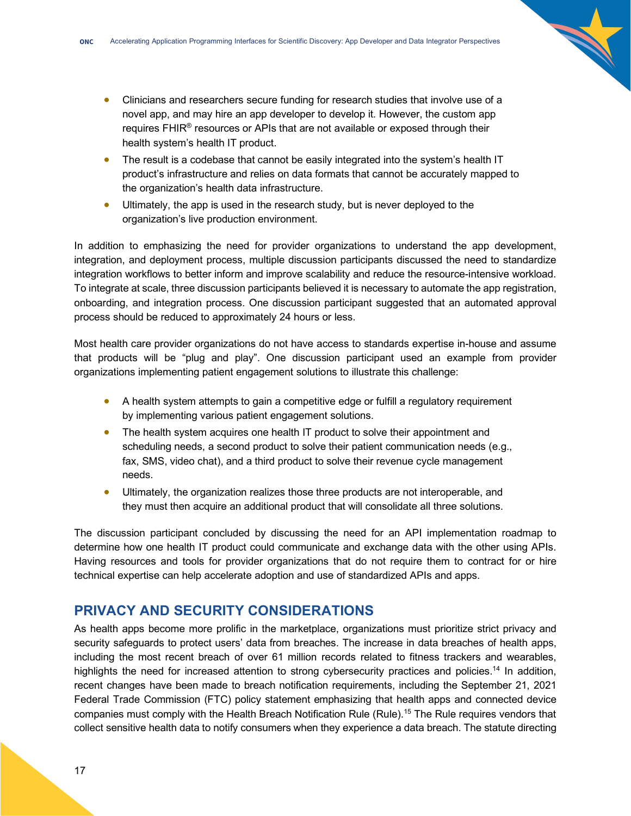- Clinicians and researchers secure funding for research studies that involve use of a novel app, and may hire an app developer to develop it. However, the custom app requires FHIR<sup>®</sup> resources or APIs that are not available or exposed through their health system's health IT product.
- The result is a codebase that cannot be easily integrated into the system's health IT product's infrastructure and relies on data formats that cannot be accurately mapped to the organization's health data infrastructure.
- Ultimately, the app is used in the research study, but is never deployed to the organization's live production environment.

In addition to emphasizing the need for provider organizations to understand the app development, integration, and deployment process, multiple discussion participants discussed the need to standardize integration workflows to better inform and improve scalability and reduce the resource-intensive workload. To integrate at scale, three discussion participants believed it is necessary to automate the app registration, onboarding, and integration process. One discussion participant suggested that an automated approval process should be reduced to approximately 24 hours or less.

Most health care provider organizations do not have access to standards expertise in-house and assume that products will be "plug and play". One discussion participant used an example from provider organizations implementing patient engagement solutions to illustrate this challenge:

- A health system attempts to gain a competitive edge or fulfill a regulatory requirement by implementing various patient engagement solutions.
- The health system acquires one health IT product to solve their appointment and scheduling needs, a second product to solve their patient communication needs (e.g., fax, SMS, video chat), and a third product to solve their revenue cycle management needs.
- Ultimately, the organization realizes those three products are not interoperable, and they must then acquire an additional product that will consolidate all three solutions.

The discussion participant concluded by discussing the need for an API implementation roadmap to determine how one health IT product could communicate and exchange data with the other using APIs. Having resources and tools for provider organizations that do not require them to contract for or hire technical expertise can help accelerate adoption and use of standardized APIs and apps.

# <span id="page-16-0"></span>**PRIVACY AND SECURITY CONSIDERATIONS**

As health apps become more prolific in the marketplace, organizations must prioritize strict privacy and security safeguards to protect users' data from breaches. The increase in data breaches of health apps, including the most recent breach of over 61 million records related to fitness trackers and wearables, highlights the need for increased attention to strong cybersecurity practices and policies.<sup>14</sup> In addition, recent changes have been made to breach notification requirements, including the September 21, 2021 Federal Trade Commission (FTC) policy statement emphasizing that health apps and connected device companies must comply with the Health Breach Notification Rule (Rule).15 The Rule requires vendors that collect sensitive health data to notify consumers when they experience a data breach. The statute directing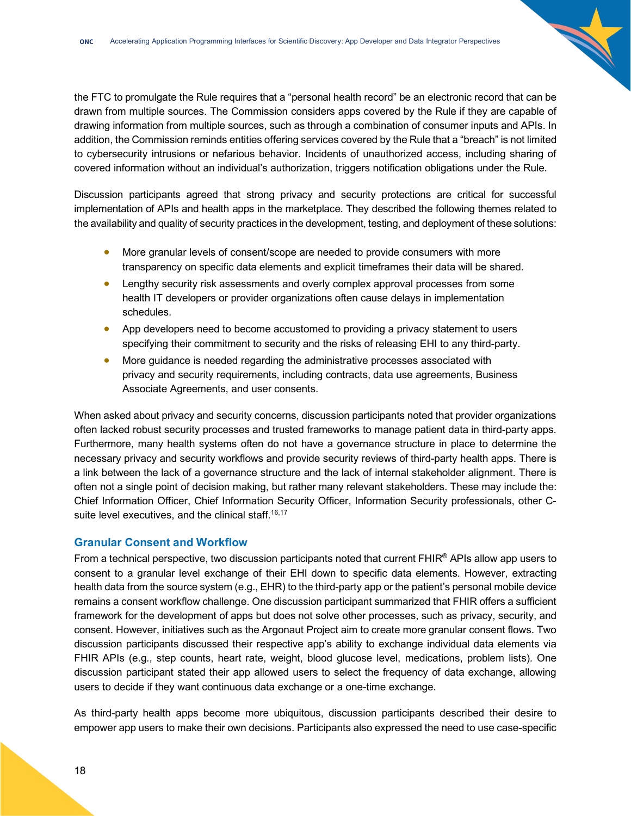the FTC to promulgate the Rule requires that a "personal health record" be an electronic record that can be drawn from multiple sources. The Commission considers apps covered by the Rule if they are capable of drawing information from multiple sources, such as through a combination of consumer inputs and APIs. In addition, the Commission reminds entities offering services covered by the Rule that a "breach" is not limited to cybersecurity intrusions or nefarious behavior. Incidents of unauthorized access, including sharing of covered information without an individual's authorization, triggers notification obligations under the Rule.

Discussion participants agreed that strong privacy and security protections are critical for successful implementation of APIs and health apps in the marketplace. They described the following themes related to the availability and quality of security practices in the development, testing, and deployment of these solutions:

- More granular levels of consent/scope are needed to provide consumers with more transparency on specific data elements and explicit timeframes their data will be shared.
- Lengthy security risk assessments and overly complex approval processes from some health IT developers or provider organizations often cause delays in implementation schedules.
- App developers need to become accustomed to providing a privacy statement to users specifying their commitment to security and the risks of releasing EHI to any third-party.
- More guidance is needed regarding the administrative processes associated with privacy and security requirements, including contracts, data use agreements, Business Associate Agreements, and user consents.

When asked about privacy and security concerns, discussion participants noted that provider organizations often lacked robust security processes and trusted frameworks to manage patient data in third-party apps. Furthermore, many health systems often do not have a governance structure in place to determine the necessary privacy and security workflows and provide security reviews of third-party health apps. There is a link between the lack of a governance structure and the lack of internal stakeholder alignment. There is often not a single point of decision making, but rather many relevant stakeholders. These may include the: Chief Information Officer, Chief Information Security Officer, Information Security professionals, other Csuite level executives, and the clinical staff.<sup>16,17</sup>

# <span id="page-17-0"></span>**Granular Consent and Workflow**

From a technical perspective, two discussion participants noted that current FHIR<sup>®</sup> APIs allow app users to consent to a granular level exchange of their EHI down to specific data elements. However, extracting health data from the source system (e.g., EHR) to the third-party app or the patient's personal mobile device remains a consent workflow challenge. One discussion participant summarized that FHIR offers a sufficient framework for the development of apps but does not solve other processes, such as privacy, security, and consent. However, initiatives such as the Argonaut Project aim to create more granular consent flows. Two discussion participants discussed their respective app's ability to exchange individual data elements via FHIR APIs (e.g., step counts, heart rate, weight, blood glucose level, medications, problem lists). One discussion participant stated their app allowed users to select the frequency of data exchange, allowing users to decide if they want continuous data exchange or a one-time exchange.

As third-party health apps become more ubiquitous, discussion participants described their desire to empower app users to make their own decisions. Participants also expressed the need to use case-specific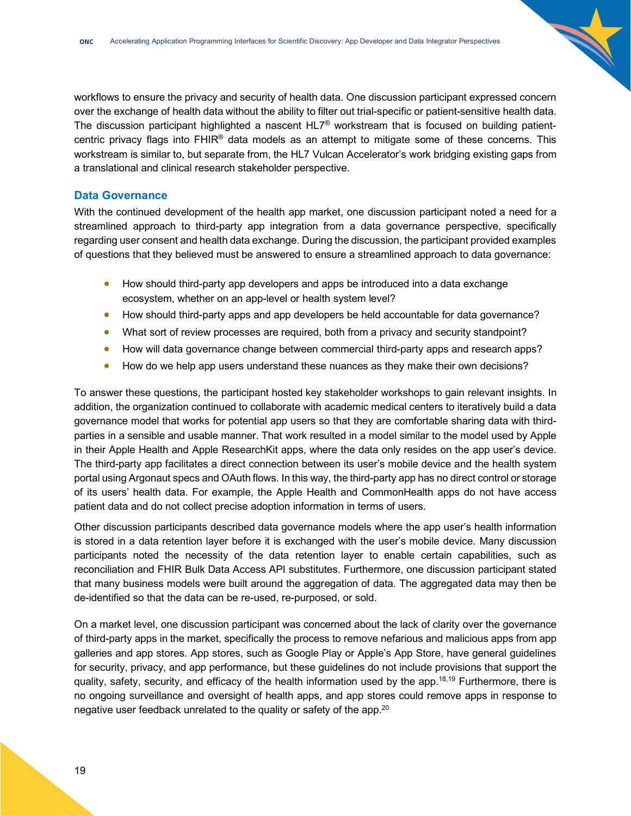workflows to ensure the privacy and security of health data. One discussion participant expressed concern over the exchange of health data without the ability to filter out trial-specific or patient-sensitive health data. The discussion participant highlighted a nascent  $HL7^\circ$  workstream that is focused on building patientcentric privacy flags into FHIR® data models as an attempt to mitigate some of these concerns. This workstream is similar to, but separate from, the HL7 Vulcan Accelerator's work bridging existing gaps from a translational and clinical research stakeholder perspective.

### <span id="page-18-0"></span>**Data Governance**

With the continued development of the health app market, one discussion participant noted a need for a streamlined approach to third-party app integration from a data governance perspective, specifically regarding user consent and health data exchange. During the discussion, the participant provided examples of questions that they believed must be answered to ensure a streamlined approach to data governance:

- How should third-party app developers and apps be introduced into a data exchange ecosystem, whether on an app-level or health system level?
- How should third-party apps and app developers be held accountable for data governance?
- What sort of review processes are required, both from a privacy and security standpoint?
- How will data governance change between commercial third-party apps and research apps?
- How do we help app users understand these nuances as they make their own decisions?

To answer these questions, the participant hosted key stakeholder workshops to gain relevant insights. In addition, the organization continued to collaborate with academic medical centers to iteratively build a data governance model that works for potential app users so that they are comfortable sharing data with thirdparties in a sensible and usable manner. That work resulted in a model similar to the model used by Apple in their Apple Health and Apple ResearchKit apps, where the data only resides on the app user's device. The third-party app facilitates a direct connection between its user's mobile device and the health system portal using Argonaut specs and OAuth flows. In this way, the third-party app has no direct control or storage of its users' health data. For example, the Apple Health and CommonHealth apps do not have access patient data and do not collect precise adoption information in terms of users.

Other discussion participants described data governance models where the app user's health information is stored in a data retention layer before it is exchanged with the user's mobile device. Many discussion participants noted the necessity of the data retention layer to enable certain capabilities, such as reconciliation and FHIR Bulk Data Access API substitutes. Furthermore, one discussion participant stated that many business models were built around the aggregation of data. The aggregated data may then be de-identified so that the data can be re-used, re-purposed, or sold.

On a market level, one discussion participant was concerned about the lack of clarity over the governance of third-party apps in the market, specifically the process to remove nefarious and malicious apps from app galleries and app stores. App stores, such as Google Play or Apple's App Store, have general guidelines for security, privacy, and app performance, but these guidelines do not include provisions that support the quality, safety, security, and efficacy of the health information used by the app.<sup>18,19</sup> Furthermore, there is no ongoing surveillance and oversight of health apps, and app stores could remove apps in response to negative user feedback unrelated to the quality or safety of the app.<sup>20</sup>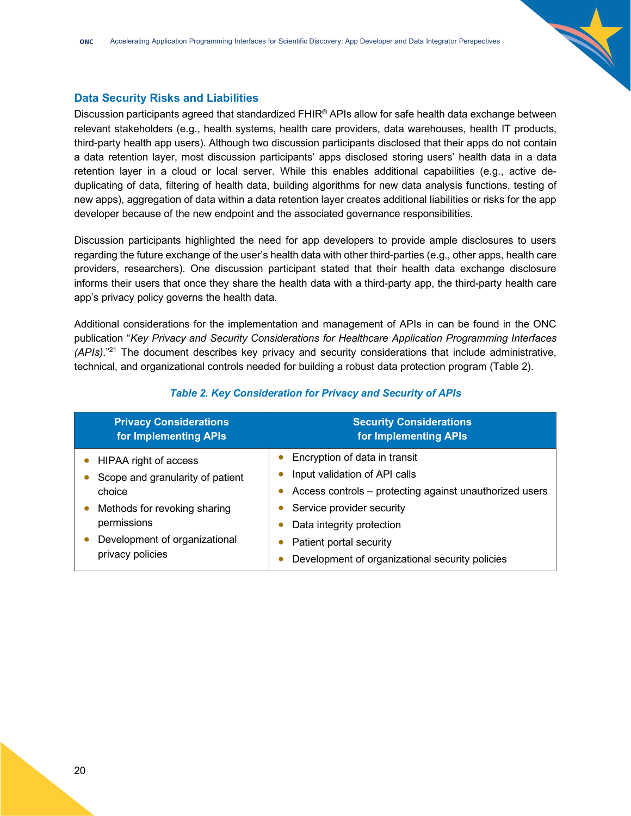### <span id="page-19-0"></span>**Data Security Risks and Liabilities**

Discussion participants agreed that standardized FHIR® APIs allow for safe health data exchange between relevant stakeholders (e.g., health systems, health care providers, data warehouses, health IT products, third-party health app users). Although two discussion participants disclosed that their apps do not contain a data retention layer, most discussion participants' apps disclosed storing users' health data in a data retention layer in a cloud or local server. While this enables additional capabilities (e.g., active deduplicating of data, filtering of health data, building algorithms for new data analysis functions, testing of new apps), aggregation of data within a data retention layer creates additional liabilities or risks for the app developer because of the new endpoint and the associated governance responsibilities.

Discussion participants highlighted the need for app developers to provide ample disclosures to users regarding the future exchange of the user's health data with other third-parties (e.g., other apps, health care providers, researchers). One discussion participant stated that their health data exchange disclosure informs their users that once they share the health data with a third-party app, the third-party health care app's privacy policy governs the health data.

Additional considerations for the implementation and management of APIs in can be found in the ONC publication "*Key Privacy and Security Considerations for Healthcare Application Programming Interfaces (APIs)*."21 The document describes key privacy and security considerations that include administrative, technical, and organizational controls needed for building a robust data protection program (Table 2).

| <b>Privacy Considerations</b><br>for Implementing APIs                                           | <b>Security Considerations</b><br>for Implementing APIs |
|--------------------------------------------------------------------------------------------------|---------------------------------------------------------|
| HIPAA right of access                                                                            | Encryption of data in transit                           |
| Scope and granularity of patient<br>choice                                                       | Input validation of API calls                           |
|                                                                                                  | Access controls – protecting against unauthorized users |
| Methods for revoking sharing<br>permissions<br>Development of organizational<br>privacy policies | Service provider security                               |
|                                                                                                  | Data integrity protection                               |
|                                                                                                  | Patient portal security                                 |
|                                                                                                  | Development of organizational security policies         |

### *Table 2. Key Consideration for Privacy and Security of APIs*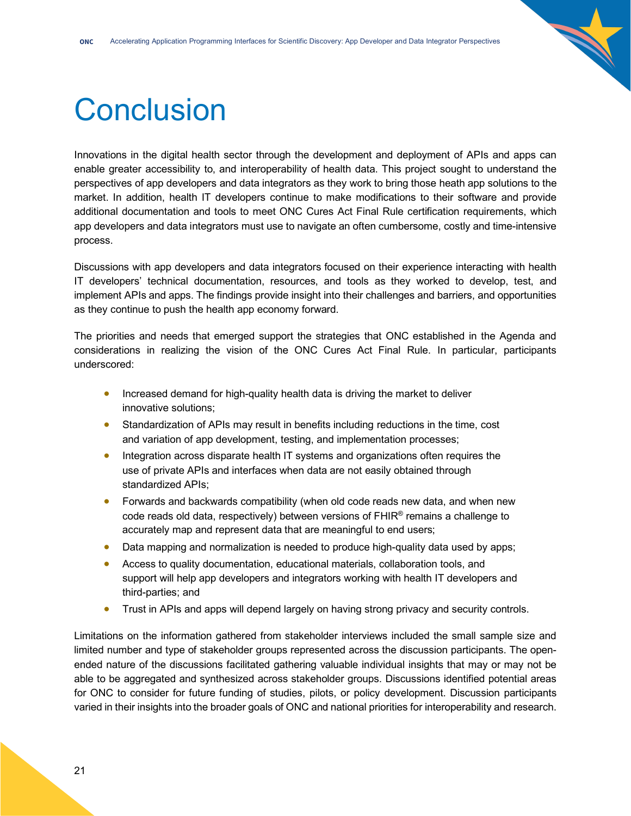

# <span id="page-20-0"></span>**Conclusion**

Innovations in the digital health sector through the development and deployment of APIs and apps can enable greater accessibility to, and interoperability of health data. This project sought to understand the perspectives of app developers and data integrators as they work to bring those heath app solutions to the market. In addition, health IT developers continue to make modifications to their software and provide additional documentation and tools to meet ONC Cures Act Final Rule certification requirements, which app developers and data integrators must use to navigate an often cumbersome, costly and time-intensive process.

Discussions with app developers and data integrators focused on their experience interacting with health IT developers' technical documentation, resources, and tools as they worked to develop, test, and implement APIs and apps. The findings provide insight into their challenges and barriers, and opportunities as they continue to push the health app economy forward.

The priorities and needs that emerged support the strategies that ONC established in the Agenda and considerations in realizing the vision of the ONC Cures Act Final Rule. In particular, participants underscored:

- Increased demand for high-quality health data is driving the market to deliver innovative solutions;
- Standardization of APIs may result in benefits including reductions in the time, cost and variation of app development, testing, and implementation processes;
- Integration across disparate health IT systems and organizations often requires the use of private APIs and interfaces when data are not easily obtained through standardized APIs;
- Forwards and backwards compatibility (when old code reads new data, and when new code reads old data, respectively) between versions of  $FHIR<sup>®</sup>$  remains a challenge to accurately map and represent data that are meaningful to end users;
- Data mapping and normalization is needed to produce high-quality data used by apps;
- Access to quality documentation, educational materials, collaboration tools, and support will help app developers and integrators working with health IT developers and third-parties; and
- Trust in APIs and apps will depend largely on having strong privacy and security controls.

Limitations on the information gathered from stakeholder interviews included the small sample size and limited number and type of stakeholder groups represented across the discussion participants. The openended nature of the discussions facilitated gathering valuable individual insights that may or may not be able to be aggregated and synthesized across stakeholder groups. Discussions identified potential areas for ONC to consider for future funding of studies, pilots, or policy development. Discussion participants varied in their insights into the broader goals of ONC and national priorities for interoperability and research.